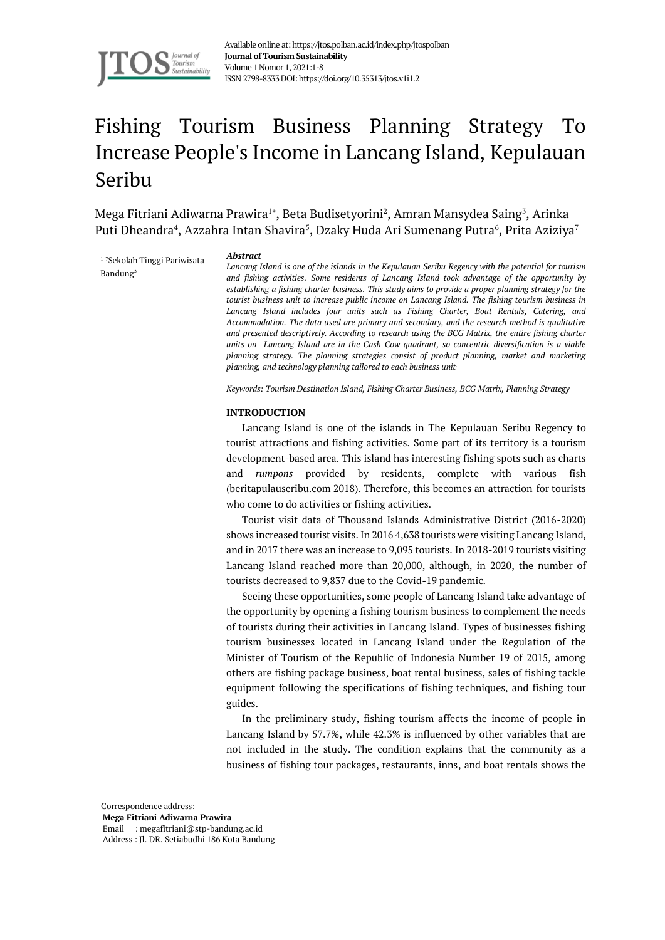

Available online at: https://jtos.polban.ac.id/index.php/jtospolban **Journal of Tourism Sustainability** Volume 1Nomor 1, 2021:1-8 ISSN 2798-8333DOI: https://doi.org/10.35313/jtos.v1i1.2

# Fishing Tourism Business Planning Strategy To Increase People's Income in Lancang Island, Kepulauan Seribu

Mega Fitriani Adiwarna Prawira<sup>1</sup>\*, Beta Budisetyorini<sup>2</sup>, Amran Mansydea Saing<sup>3</sup>, Arinka Puti Dheandra $^4$ , Azzahra Intan Shavira $^5$ , Dzaky Huda Ari Sumenang Putra $^6$ , Prita Aziziya $^7$ 

1-7Sekolah Tinggi Pariwisata Bandung\*

#### *Abstract*

*Lancang Island is one of the islands in the Kepulauan Seribu Regency with the potential for tourism and fishing activities. Some residents of Lancang Island took advantage of the opportunity by establishing a fishing charter business. This study aims to provide a proper planning strategy for the tourist business unit to increase public income on Lancang Island. The fishing tourism business in Lancang Island includes four units such as Fishing Charter, Boat Rentals, Catering, and Accommodation. The data used are primary and secondary, and the research method is qualitative and presented descriptively. According to research using the BCG Matrix, the entire fishing charter units on Lancang Island are in the Cash Cow quadrant, so concentric diversification is a viable planning strategy. The planning strategies consist of product planning, market and marketing planning, and technology planning tailored to each business unit .*

*Keywords: Tourism Destination Island, Fishing Charter Business, BCG Matrix, Planning Strategy*

#### **INTRODUCTION**

Lancang Island is one of the islands in The Kepulauan Seribu Regency to tourist attractions and fishing activities. Some part of its territory is a tourism development-based area. This island has interesting fishing spots such as charts and *rumpons* provided by residents, complete with various fish (beritapulauseribu.com 2018). Therefore, this becomes an attraction for tourists who come to do activities or fishing activities.

Tourist visit data of Thousand Islands Administrative District (2016-2020) shows increased tourist visits. In 2016 4,638 tourists were visiting Lancang Island, and in 2017 there was an increase to 9,095 tourists. In 2018-2019 tourists visiting Lancang Island reached more than 20,000, although, in 2020, the number of tourists decreased to 9,837 due to the Covid-19 pandemic.

Seeing these opportunities, some people of Lancang Island take advantage of the opportunity by opening a fishing tourism business to complement the needs of tourists during their activities in Lancang Island. Types of businesses fishing tourism businesses located in Lancang Island under the Regulation of the Minister of Tourism of the Republic of Indonesia Number 19 of 2015, among others are fishing package business, boat rental business, sales of fishing tackle equipment following the specifications of fishing techniques, and fishing tour guides.

In the preliminary study, fishing tourism affects the income of people in Lancang Island by 57.7%, while 42.3% is influenced by other variables that are not included in the study. The condition explains that the community as a business of fishing tour packages, restaurants, inns, and boat rentals shows the

Correspondence address:

**Mega Fitriani Adiwarna Prawira**

Email : megafitriani@stp-bandung.ac.id Address : Jl. DR. Setiabudhi 186 Kota Bandung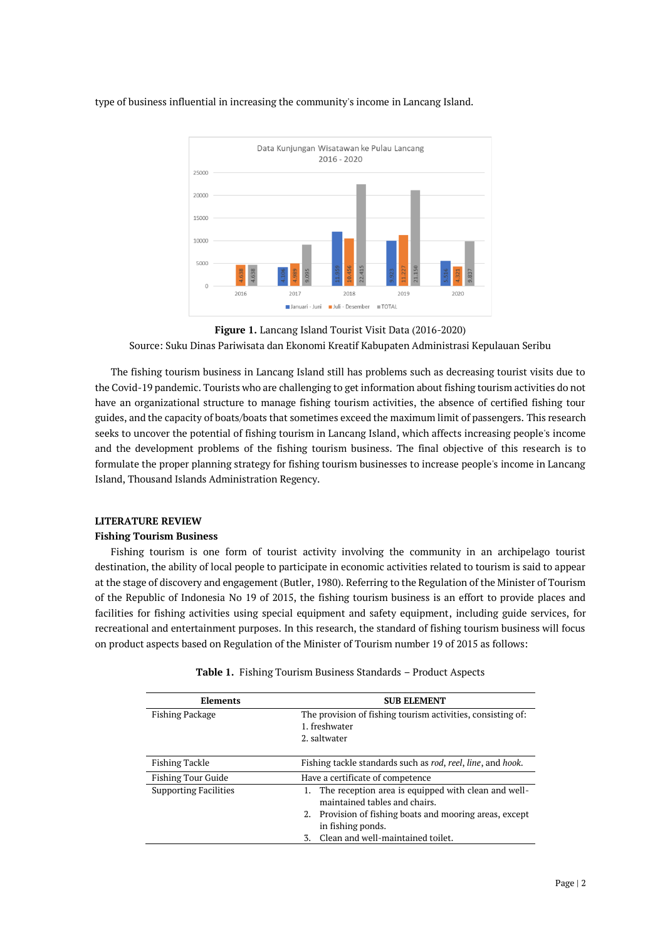

type of business influential in increasing the community's income in Lancang Island.

The fishing tourism business in Lancang Island still has problems such as decreasing tourist visits due to the Covid-19 pandemic. Tourists who are challenging to get information about fishing tourism activities do not have an organizational structure to manage fishing tourism activities, the absence of certified fishing tour guides, and the capacity of boats/boats that sometimes exceed the maximum limit of passengers. This research seeks to uncover the potential of fishing tourism in Lancang Island, which affects increasing people's income and the development problems of the fishing tourism business. The final objective of this research is to formulate the proper planning strategy for fishing tourism businesses to increase people's income in Lancang Island, Thousand Islands Administration Regency.

# **LITERATURE REVIEW**

## **Fishing Tourism Business**

Fishing tourism is one form of tourist activity involving the community in an archipelago tourist destination, the ability of local people to participate in economic activities related to tourism is said to appear at the stage of discovery and engagement (Butler, 1980). Referring to the Regulation of the Minister of Tourism of the Republic of Indonesia No 19 of 2015, the fishing tourism business is an effort to provide places and facilities for fishing activities using special equipment and safety equipment, including guide services, for recreational and entertainment purposes. In this research, the standard of fishing tourism business will focus on product aspects based on Regulation of the Minister of Tourism number 19 of 2015 as follows:

| <b>Elements</b>              | <b>SUB ELEMENT</b>                                                                                                                                                                                              |  |  |
|------------------------------|-----------------------------------------------------------------------------------------------------------------------------------------------------------------------------------------------------------------|--|--|
| <b>Fishing Package</b>       | The provision of fishing tourism activities, consisting of:<br>1. freshwater<br>2. saltwater                                                                                                                    |  |  |
| Fishing Tackle               | Fishing tackle standards such as rod, reel, line, and hook.                                                                                                                                                     |  |  |
| <b>Fishing Tour Guide</b>    | Have a certificate of competence                                                                                                                                                                                |  |  |
| <b>Supporting Facilities</b> | The reception area is equipped with clean and well-<br>maintained tables and chairs.<br>2. Provision of fishing boats and mooring areas, except<br>in fishing ponds.<br>Clean and well-maintained toilet.<br>3. |  |  |

|  |  |  |  | Table 1. Fishing Tourism Business Standards - Product Aspects |  |  |
|--|--|--|--|---------------------------------------------------------------|--|--|
|--|--|--|--|---------------------------------------------------------------|--|--|

**Figure 1.** Lancang Island Tourist Visit Data (2016-2020) Source: Suku Dinas Pariwisata dan Ekonomi Kreatif Kabupaten Administrasi Kepulauan Seribu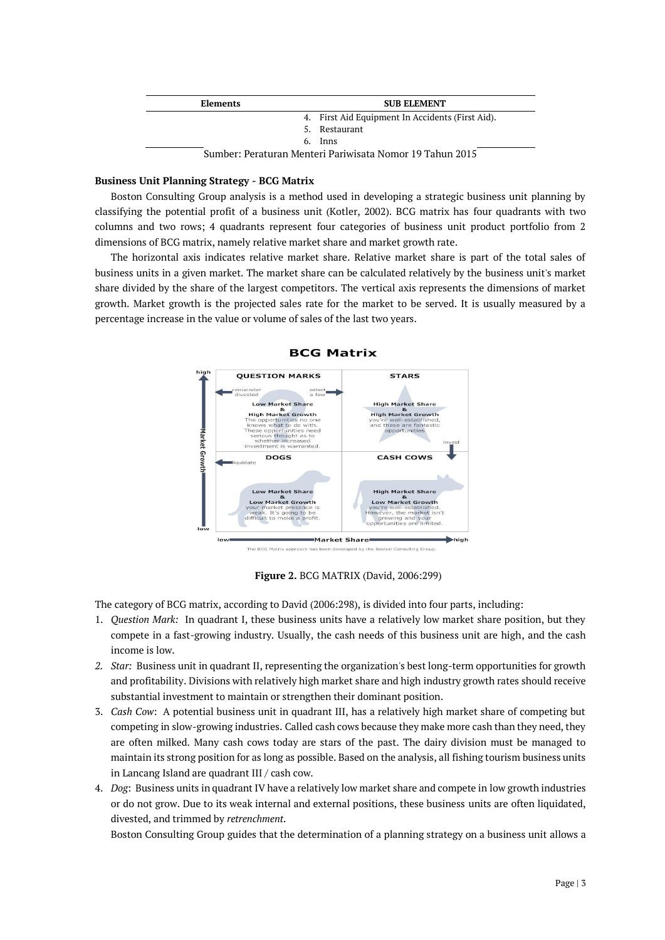| <b>Elements</b> | <b>SUB ELEMENT</b>                                       |
|-----------------|----------------------------------------------------------|
|                 | 4. First Aid Equipment In Accidents (First Aid).         |
|                 | 5. Restaurant                                            |
|                 | 6. Inns                                                  |
|                 | Sumber: Peraturan Menteri Pariwisata Nomor 19 Tahun 2015 |

# **Business Unit Planning Strategy - BCG Matrix**

Boston Consulting Group analysis is a method used in developing a strategic business unit planning by classifying the potential profit of a business unit (Kotler, 2002). BCG matrix has four quadrants with two columns and two rows; 4 quadrants represent four categories of business unit product portfolio from 2 dimensions of BCG matrix, namely relative market share and market growth rate.

The horizontal axis indicates relative market share. Relative market share is part of the total sales of business units in a given market. The market share can be calculated relatively by the business unit's market share divided by the share of the largest competitors. The vertical axis represents the dimensions of market growth. Market growth is the projected sales rate for the market to be served. It is usually measured by a percentage increase in the value or volume of sales of the last two years.



# **BCG Matrix**

**Figure 2.** BCG MATRIX (David, 2006:299)

The category of BCG matrix, according to David (2006:298), is divided into four parts, including:

- 1. *Question Mark:* In quadrant I, these business units have a relatively low market share position, but they compete in a fast-growing industry. Usually, the cash needs of this business unit are high, and the cash income is low.
- *2. Star:* Business unit in quadrant II, representing the organization's best long-term opportunities for growth and profitability. Divisions with relatively high market share and high industry growth rates should receive substantial investment to maintain or strengthen their dominant position.
- 3. *Cash Cow*: A potential business unit in quadrant III, has a relatively high market share of competing but competing in slow-growing industries. Called cash cows because they make more cash than they need, they are often milked. Many cash cows today are stars of the past. The dairy division must be managed to maintain its strong position for as long as possible. Based on the analysis, all fishing tourism business units in Lancang Island are quadrant III / cash cow.
- 4. *Dog*: Business units in quadrant IV have a relatively low market share and compete in low growth industries or do not grow. Due to its weak internal and external positions, these business units are often liquidated, divested, and trimmed by *retrenchment.*

Boston Consulting Group guides that the determination of a planning strategy on a business unit allows a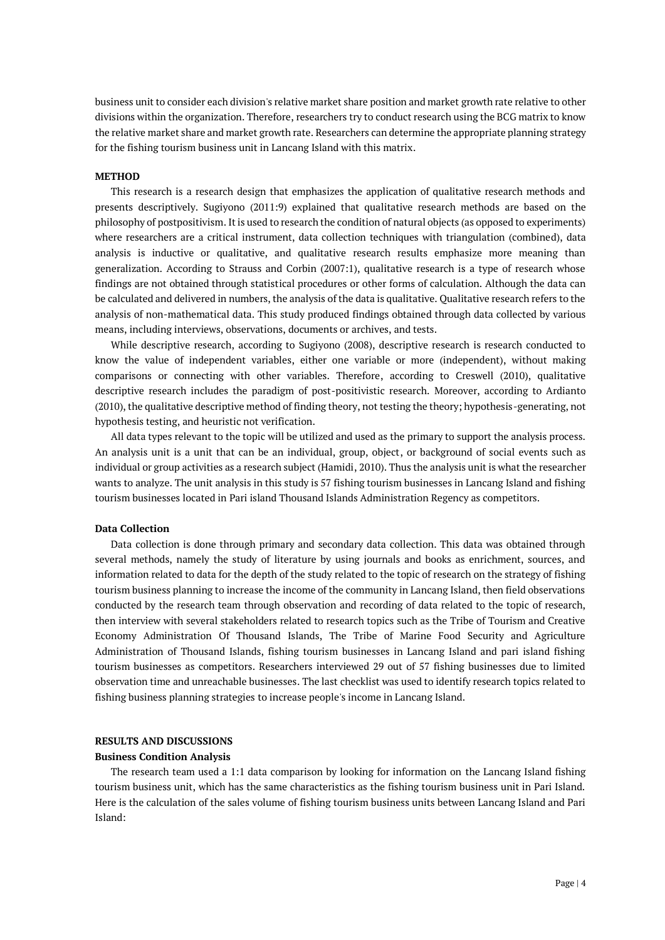business unit to consider each division's relative market share position and market growth rate relative to other divisions within the organization. Therefore, researchers try to conduct research using the BCG matrix to know the relative market share and market growth rate. Researchers can determine the appropriate planning strategy for the fishing tourism business unit in Lancang Island with this matrix.

# **METHOD**

This research is a research design that emphasizes the application of qualitative research methods and presents descriptively. Sugiyono (2011:9) explained that qualitative research methods are based on the philosophy of postpositivism. It is used to research the condition of natural objects (as opposed to experiments) where researchers are a critical instrument, data collection techniques with triangulation (combined), data analysis is inductive or qualitative, and qualitative research results emphasize more meaning than generalization. According to Strauss and Corbin (2007:1), qualitative research is a type of research whose findings are not obtained through statistical procedures or other forms of calculation. Although the data can be calculated and delivered in numbers, the analysis of the data is qualitative. Qualitative research refers to the analysis of non-mathematical data. This study produced findings obtained through data collected by various means, including interviews, observations, documents or archives, and tests.

While descriptive research, according to Sugiyono (2008), descriptive research is research conducted to know the value of independent variables, either one variable or more (independent), without making comparisons or connecting with other variables. Therefore, according to Creswell (2010), qualitative descriptive research includes the paradigm of post-positivistic research. Moreover, according to Ardianto (2010), the qualitative descriptive method of finding theory, not testing the theory; hypothesis-generating, not hypothesis testing, and heuristic not verification.

All data types relevant to the topic will be utilized and used as the primary to support the analysis process. An analysis unit is a unit that can be an individual, group, object, or background of social events such as individual or group activities as a research subject (Hamidi, 2010). Thus the analysis unit is what the researcher wants to analyze. The unit analysis in this study is 57 fishing tourism businesses in Lancang Island and fishing tourism businesses located in Pari island Thousand Islands Administration Regency as competitors.

#### **Data Collection**

Data collection is done through primary and secondary data collection. This data was obtained through several methods, namely the study of literature by using journals and books as enrichment, sources, and information related to data for the depth of the study related to the topic of research on the strategy of fishing tourism business planning to increase the income of the community in Lancang Island, then field observations conducted by the research team through observation and recording of data related to the topic of research, then interview with several stakeholders related to research topics such as the Tribe of Tourism and Creative Economy Administration Of Thousand Islands, The Tribe of Marine Food Security and Agriculture Administration of Thousand Islands, fishing tourism businesses in Lancang Island and pari island fishing tourism businesses as competitors. Researchers interviewed 29 out of 57 fishing businesses due to limited observation time and unreachable businesses. The last checklist was used to identify research topics related to fishing business planning strategies to increase people's income in Lancang Island.

# **RESULTS AND DISCUSSIONS**

## **Business Condition Analysis**

The research team used a 1:1 data comparison by looking for information on the Lancang Island fishing tourism business unit, which has the same characteristics as the fishing tourism business unit in Pari Island. Here is the calculation of the sales volume of fishing tourism business units between Lancang Island and Pari Island: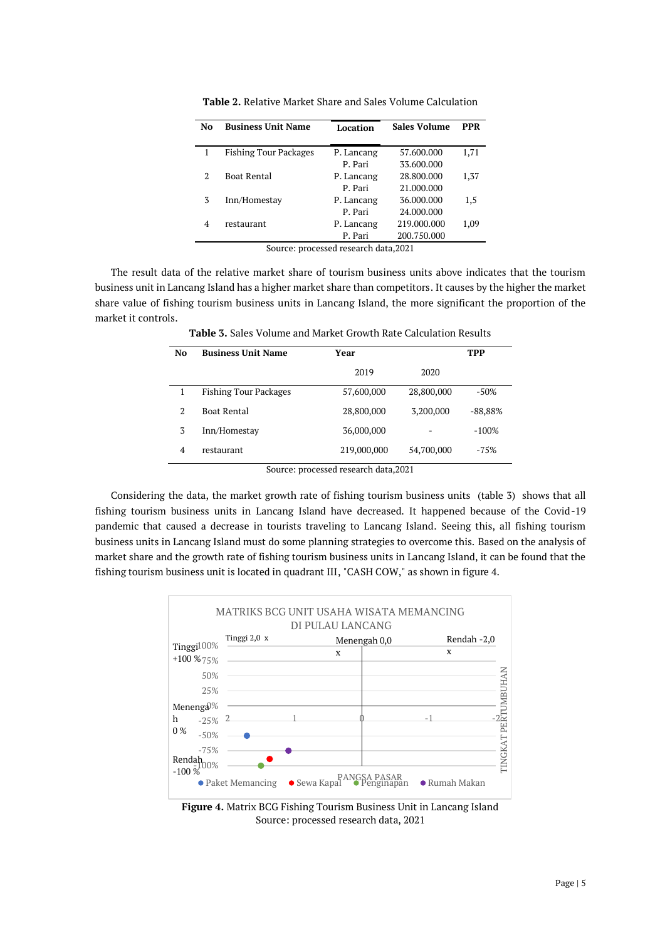| No                                    | <b>Business Unit Name</b>    | Location   | <b>Sales Volume</b> | <b>PPR</b> |
|---------------------------------------|------------------------------|------------|---------------------|------------|
|                                       | <b>Fishing Tour Packages</b> | P. Lancang | 57.600.000          | 1,71       |
|                                       |                              | P. Pari    | 33.600.000          |            |
| 2                                     | <b>Boat Rental</b>           | P. Lancang | 28.800.000          | 1,37       |
|                                       |                              | P. Pari    | 21.000.000          |            |
| 3                                     | Inn/Homestay                 | P. Lancang | 36.000.000          | 1,5        |
|                                       |                              | P. Pari    | 24.000.000          |            |
| 4                                     | restaurant                   | P. Lancang | 219.000.000         | 1,09       |
|                                       |                              | P. Pari    | 200.750.000         |            |
| Source: processed research data, 2021 |                              |            |                     |            |

**Table 2.** Relative Market Share and Sales Volume Calculation

The result data of the relative market share of tourism business units above indicates that the tourism business unit in Lancang Island has a higher market share than competitors. It causes by the higher the market share value of fishing tourism business units in Lancang Island, the more significant the proportion of the market it controls.

| No                                                          | <b>Business Unit Name</b>    | Year        |            | TPP       |  |
|-------------------------------------------------------------|------------------------------|-------------|------------|-----------|--|
|                                                             |                              | 2019        | 2020       |           |  |
|                                                             | <b>Fishing Tour Packages</b> | 57,600,000  | 28,800,000 | $-50\%$   |  |
| $\overline{2}$                                              | Boat Rental                  | 28,800,000  | 3,200,000  | $-88,88%$ |  |
| 3                                                           | Inn/Homestay                 | 36,000,000  |            | $-100%$   |  |
| $\overline{4}$                                              | restaurant                   | 219,000,000 | 54,700,000 | $-75%$    |  |
| $1 \t 1 \t 1 \t 0001$<br>$\alpha$ and $\alpha$ and $\alpha$ |                              |             |            |           |  |

**Table 3.** Sales Volume and Market Growth Rate Calculation Results

Source: processed research data,2021

Considering the data, the market growth rate of fishing tourism business units (table 3) shows that all fishing tourism business units in Lancang Island have decreased. It happened because of the Covid-19 pandemic that caused a decrease in tourists traveling to Lancang Island. Seeing this, all fishing tourism business units in Lancang Island must do some planning strategies to overcome this. Based on the analysis of market share and the growth rate of fishing tourism business units in Lancang Island, it can be found that the fishing tourism business unit is located in quadrant III, "CASH COW," as shown in figure 4.



**Figure 4.** Matrix BCG Fishing Tourism Business Unit in Lancang Island Source: processed research data, 2021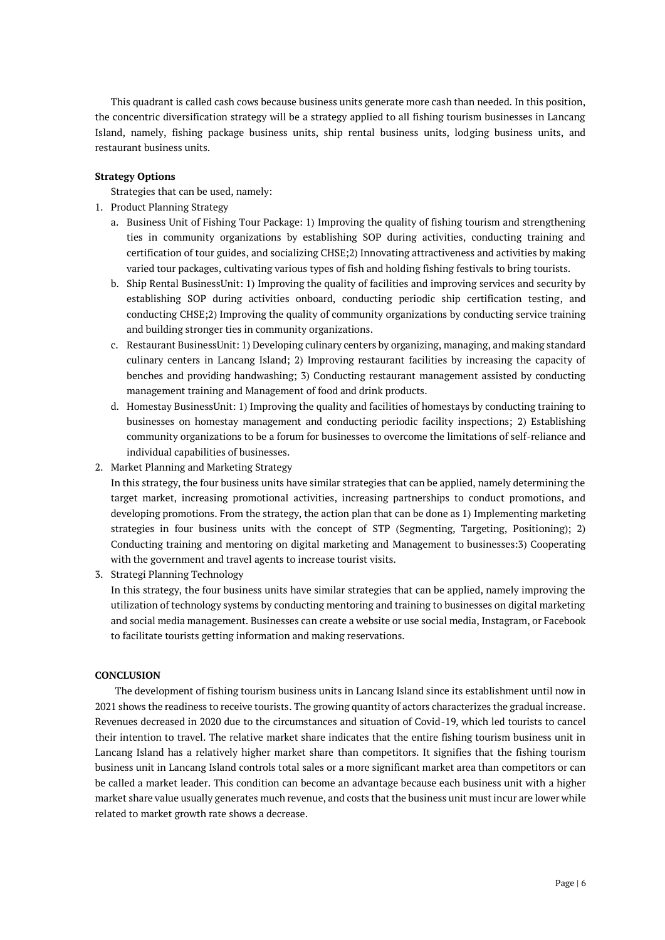This quadrant is called cash cows because business units generate more cash than needed. In this position, the concentric diversification strategy will be a strategy applied to all fishing tourism businesses in Lancang Island, namely, fishing package business units, ship rental business units, lodging business units, and restaurant business units.

# **Strategy Options**

Strategies that can be used, namely:

- 1. Product Planning Strategy
	- a. Business Unit of Fishing Tour Package: 1) Improving the quality of fishing tourism and strengthening ties in community organizations by establishing SOP during activities, conducting training and certification of tour guides, and socializing CHSE;2) Innovating attractiveness and activities by making varied tour packages, cultivating various types of fish and holding fishing festivals to bring tourists.
	- b. Ship Rental BusinessUnit: 1) Improving the quality of facilities and improving services and security by establishing SOP during activities onboard, conducting periodic ship certification testing, and conducting CHSE;2) Improving the quality of community organizations by conducting service training and building stronger ties in community organizations.
	- c. Restaurant BusinessUnit: 1) Developing culinary centers by organizing, managing, and making standard culinary centers in Lancang Island; 2) Improving restaurant facilities by increasing the capacity of benches and providing handwashing; 3) Conducting restaurant management assisted by conducting management training and Management of food and drink products.
	- d. Homestay BusinessUnit: 1) Improving the quality and facilities of homestays by conducting training to businesses on homestay management and conducting periodic facility inspections; 2) Establishing community organizations to be a forum for businesses to overcome the limitations of self-reliance and individual capabilities of businesses.
- 2. Market Planning and Marketing Strategy

In this strategy, the four business units have similar strategies that can be applied, namely determining the target market, increasing promotional activities, increasing partnerships to conduct promotions, and developing promotions. From the strategy, the action plan that can be done as 1) Implementing marketing strategies in four business units with the concept of STP (Segmenting, Targeting, Positioning); 2) Conducting training and mentoring on digital marketing and Management to businesses:3) Cooperating with the government and travel agents to increase tourist visits.

3. Strategi Planning Technology

In this strategy, the four business units have similar strategies that can be applied, namely improving the utilization of technology systems by conducting mentoring and training to businesses on digital marketing and social media management. Businesses can create a website or use social media, Instagram, or Facebook to facilitate tourists getting information and making reservations.

## **CONCLUSION**

The development of fishing tourism business units in Lancang Island since its establishment until now in 2021 shows the readiness to receive tourists. The growing quantity of actors characterizes the gradual increase. Revenues decreased in 2020 due to the circumstances and situation of Covid-19, which led tourists to cancel their intention to travel. The relative market share indicates that the entire fishing tourism business unit in Lancang Island has a relatively higher market share than competitors. It signifies that the fishing tourism business unit in Lancang Island controls total sales or a more significant market area than competitors or can be called a market leader. This condition can become an advantage because each business unit with a higher market share value usually generates much revenue, and costs that the business unit must incur are lower while related to market growth rate shows a decrease.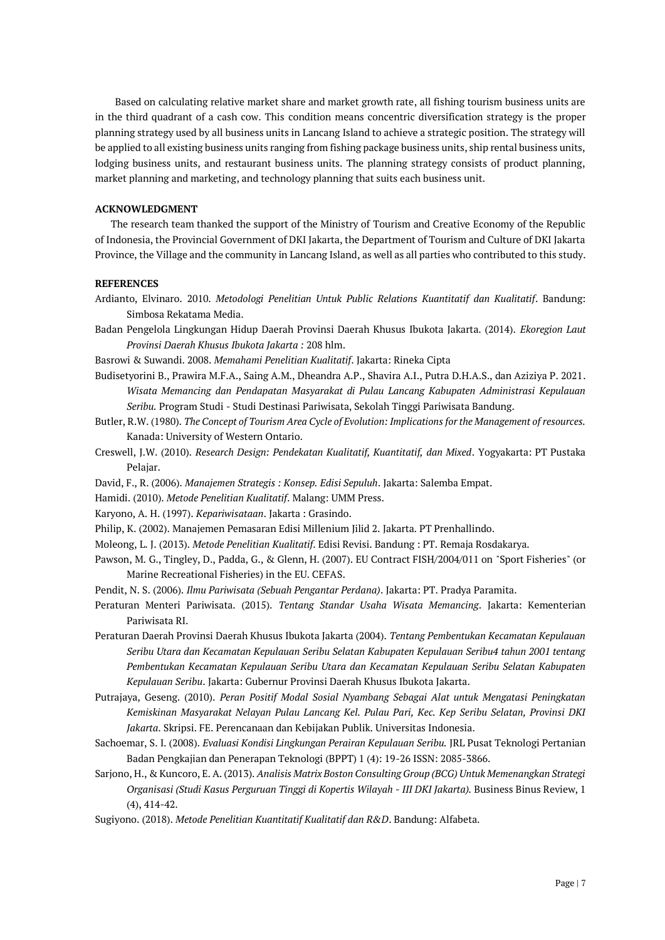Based on calculating relative market share and market growth rate, all fishing tourism business units are in the third quadrant of a cash cow. This condition means concentric diversification strategy is the proper planning strategy used by all business units in Lancang Island to achieve a strategic position. The strategy will be applied to all existing business units ranging from fishing package business units, ship rental business units, lodging business units, and restaurant business units. The planning strategy consists of product planning, market planning and marketing, and technology planning that suits each business unit.

## **ACKNOWLEDGMENT**

The research team thanked the support of the Ministry of Tourism and Creative Economy of the Republic of Indonesia, the Provincial Government of DKI Jakarta, the Department of Tourism and Culture of DKI Jakarta Province, the Village and the community in Lancang Island, as well as all parties who contributed to this study.

### **REFERENCES**

- Ardianto, Elvinaro. 2010. *Metodologi Penelitian Untuk Public Relations Kuantitatif dan Kualitatif*. Bandung: Simbosa Rekatama Media.
- Badan Pengelola Lingkungan Hidup Daerah Provinsi Daerah Khusus Ibukota Jakarta. (2014). *Ekoregion Laut Provinsi Daerah Khusus Ibukota Jakarta :* 208 hlm.

Basrowi & Suwandi. 2008. *Memahami Penelitian Kualitatif*. Jakarta: Rineka Cipta

- Budisetyorini B., Prawira M.F.A., Saing A.M., Dheandra A.P., Shavira A.I., Putra D.H.A.S., dan Aziziya P. 2021. *Wisata Memancing dan Pendapatan Masyarakat di Pulau Lancang Kabupaten Administrasi Kepulauan Seribu.* Program Studi - Studi Destinasi Pariwisata, Sekolah Tinggi Pariwisata Bandung.
- Butler, R.W. (1980). *The Concept of Tourism Area Cycle of Evolution: Implications for the Management of resources.*  Kanada: University of Western Ontario.
- Creswell, J.W. (2010). *Research Design: Pendekatan Kualitatif, Kuantitatif, dan Mixed*. Yogyakarta: PT Pustaka Pelajar.
- David, F., R. (2006). *Manajemen Strategis : Konsep. Edisi Sepuluh*. Jakarta: Salemba Empat.
- Hamidi. (2010). *Metode Penelitian Kualitatif*. Malang: UMM Press.
- Karyono, A. H. (1997). *Kepariwisataan*. Jakarta : Grasindo.
- Philip, K. (2002). Manajemen Pemasaran Edisi Millenium Jilid 2. Jakarta. PT Prenhallindo.
- Moleong, L. J. (2013). *Metode Penelitian Kualitatif*. Edisi Revisi. Bandung : PT. Remaja Rosdakarya.
- Pawson, M. G., Tingley, D., Padda, G., & Glenn, H. (2007). EU Contract FISH/2004/011 on "Sport Fisheries" (or Marine Recreational Fisheries) in the EU. CEFAS.
- Pendit, N. S. (2006). *Ilmu Pariwisata (Sebuah Pengantar Perdana)*. Jakarta: PT. Pradya Paramita.
- Peraturan Menteri Pariwisata. (2015). *Tentang Standar Usaha Wisata Memancing*. Jakarta: Kementerian Pariwisata RI.
- Peraturan Daerah Provinsi Daerah Khusus Ibukota Jakarta (2004). *Tentang Pembentukan Kecamatan Kepulauan Seribu Utara dan Kecamatan Kepulauan Seribu Selatan Kabupaten Kepulauan Seribu4 tahun 2001 tentang Pembentukan Kecamatan Kepulauan Seribu Utara dan Kecamatan Kepulauan Seribu Selatan Kabupaten Kepulauan Seribu*. Jakarta: Gubernur Provinsi Daerah Khusus Ibukota Jakarta.
- Putrajaya, Geseng. (2010). *Peran Positif Modal Sosial Nyambang Sebagai Alat untuk Mengatasi Peningkatan Kemiskinan Masyarakat Nelayan Pulau Lancang Kel. Pulau Pari, Kec. Kep Seribu Selatan, Provinsi DKI Jakarta*. Skripsi. FE. Perencanaan dan Kebijakan Publik. Universitas Indonesia.
- Sachoemar, S. I. (2008). *Evaluasi Kondisi Lingkungan Perairan Kepulauan Seribu.* JRL Pusat Teknologi Pertanian Badan Pengkajian dan Penerapan Teknologi (BPPT) 1 (4): 19-26 ISSN: 2085-3866.
- Sarjono, H., & Kuncoro, E. A. (2013). *Analisis Matrix Boston Consulting Group (BCG) Untuk Memenangkan Strategi Organisasi (Studi Kasus Perguruan Tinggi di Kopertis Wilayah - III DKI Jakarta).* Business Binus Review, 1 (4), 414-42.

Sugiyono. (2018). *Metode Penelitian Kuantitatif Kualitatif dan R&D*. Bandung: Alfabeta.